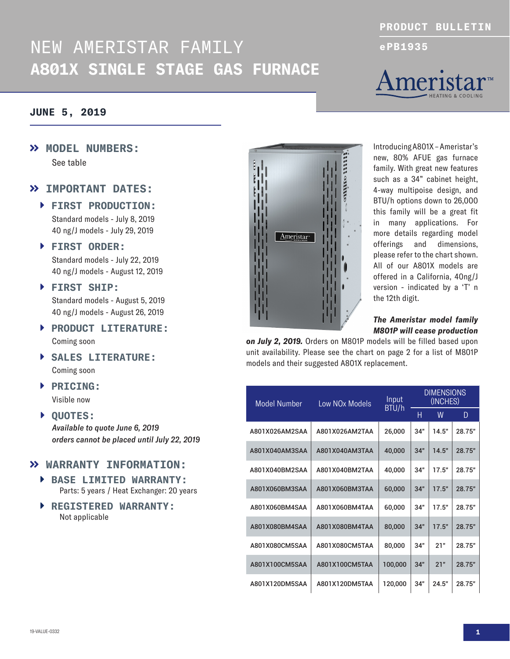## NEW AMERISTAR FAMILY **ePB1935 A801X SINGLE STAGE GAS FURNACE**

## **JUNE 5, 2019**

 **MODEL NUMBERS:** See table

## **IMPORTANT DATES:**

- **FIRST PRODUCTION:** Standard models - July 8, 2019 40 ng/J models - July 29, 2019
- **FIRST ORDER:** Standard models - July 22, 2019 40 ng/J models - August 12, 2019
- **FIRST SHIP:** Standard models - August 5, 2019 40 ng/J models - August 26, 2019
- **PRODUCT LITERATURE:** Coming soon
- **SALES LITERATURE:** Coming soon
- **PRICING:** Visible now
- **QUOTES:** *Available to quote June 6, 2019 orders cannot be placed until July 22, 2019*

### **WARRANTY INFORMATION:**

- **BASE LIMITED WARRANTY:** Parts: 5 years / Heat Exchanger: 20 years
- **REGISTERED WARRANTY:** Not applicable



### *The Ameristar model family M801P will cease production*

*on July 2, 2019.* Orders on M801P models will be filled based upon unit availability. Please see the chart on page 2 for a list of M801P models and their suggested A801X replacement.

**GRILLED SEESE** 

Ameristar<sup>®</sup>

| Model Number   | Low NO <sub>x</sub> Models | Input<br>BTU/h | <b>DIMENSIONS</b><br>(INCHES) |       |        |
|----------------|----------------------------|----------------|-------------------------------|-------|--------|
|                |                            |                | Н                             | W     | D      |
| A801X026AM2SAA | A801X026AM2TAA             | 26,000         | 34"                           | 14.5" | 28.75" |
| A801X040AM3SAA | A801X040AM3TAA             | 40,000         | 34"                           | 14.5" | 28.75" |
| A801X040BM2SAA | A801X040BM2TAA             | 40,000         | 34"                           | 17.5" | 28.75" |
| A801X060BM3SAA | A801X060BM3TAA             | 60,000         | 34"                           | 17.5" | 28.75" |
| A801X060BM4SAA | A801X060BM4TAA             | 60,000         | 34"                           | 17.5" | 28.75" |
| A801X080BM4SAA | A801X080BM4TAA             | 80,000         | 34"                           | 17.5" | 28.75" |
| A801X080CM5SAA | A801X080CM5TAA             | 80,000         | 34"                           | 21"   | 28.75" |
| A801X100CM5SAA | A801X100CM5TAA             | 100,000        | 34"                           | 21"   | 28.75" |
| A801X120DM5SAA | A801X120DM5TAA             | 120,000        | 34"                           | 24.5" | 28.75" |



**PRODUCT BULLETIN**